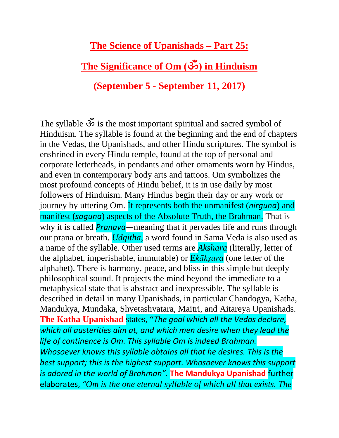**The Science of Upanishads – Part 25:**

## **The Significance of Om (ॐ) in Hinduism**

## **(September 5 - September 11, 2017)**

The syllable ॐ is the most important spiritual and sacred symbol of Hinduism. The syllable is found at the beginning and the end of chapters in the Vedas, the Upanishads, and other Hindu scriptures. The symbol is enshrined in every Hindu temple, found at the top of personal and corporate letterheads, in pendants and other ornaments worn by Hindus, and even in contemporary body arts and tattoos. Om symbolizes the most profound concepts of Hindu belief, it is in use daily by most followers of Hinduism. Many Hindus begin their day or any work or journey by uttering Om. It represents both the unmanifest (*nirguna*) and manifest (*saguna*) aspects of the Absolute Truth, the Brahman. That is why it is called *Pranava—*meaning that it pervades life and runs through our prana or breath. *Udgitha*, a word found in Sama Veda is also used as a name of the syllable. Other used terms are *Akshara* (literally, letter of the alphabet, imperishable, immutable) or E*kākṣara* (one letter of the alphabet). There is harmony, peace, and bliss in this simple but deeply philosophical sound. It projects the mind beyond the immediate to a metaphysical state that is abstract and inexpressible. The syllable is described in detail in many Upanishads, in particular Chandogya, Katha, Mandukya, Mundaka, Shvetashvatara, Maitri, and Aitareya Upanishads. **The Katha Upanishad** states, "*The goal which all the Vedas declare, which all austerities aim at, and which men desire when they lead the life of continence is Om. This syllable Om is indeed Brahman. Whosoever knows this syllable obtains all that he desires. This is the best support; this is the highest support. Whosoever knows this support is adored in the world of Brahman".* **The Mandukya Upanishad** further elaborates, *"Om is the one eternal syllable of which all that exists. The*